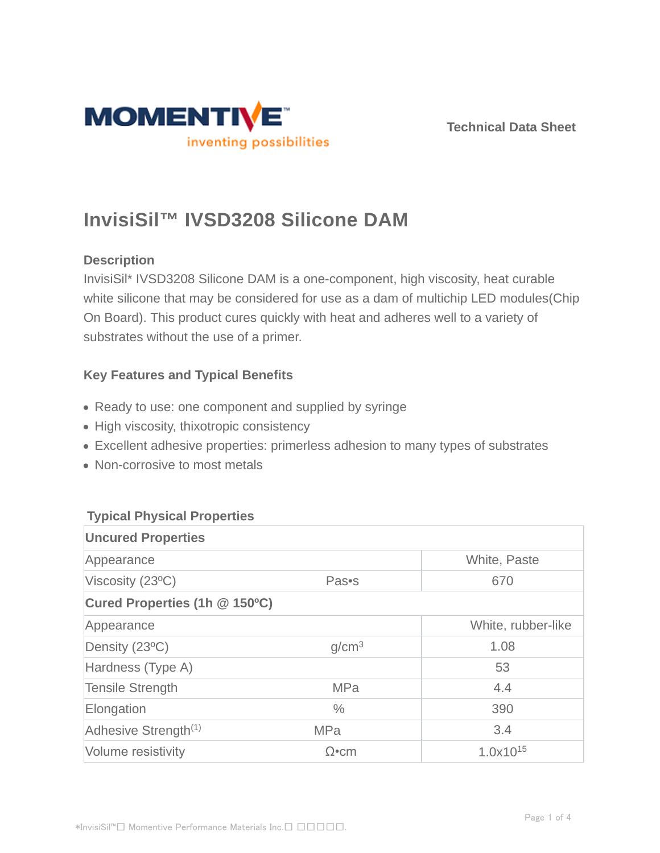



# **InvisiSil™ IVSD3208 Silicone DAM**

## **Description**

InvisiSil\* IVSD3208 Silicone DAM is a one-component, high viscosity, heat curable white silicone that may be considered for use as a dam of multichip LED modules(Chip On Board). This product cures quickly with heat and adheres well to a variety of substrates without the use of a primer.

# **Key Features and Typical Benefits**

- Ready to use: one component and supplied by syringe
- High viscosity, thixotropic consistency
- Excellent adhesive properties: primerless adhesion to many types of substrates
- Non-corrosive to most metals

## **Typical Physical Properties**

| <b>Uncured Properties</b>        |                   |                    |  |  |
|----------------------------------|-------------------|--------------------|--|--|
| Appearance                       |                   | White, Paste       |  |  |
| Viscosity (23°C)                 | Pas•s             | 670                |  |  |
| Cured Properties (1h @ 150°C)    |                   |                    |  |  |
| Appearance                       |                   | White, rubber-like |  |  |
| Density (23°C)                   | g/cm <sup>3</sup> | 1.08               |  |  |
| Hardness (Type A)                |                   | 53                 |  |  |
| <b>Tensile Strength</b>          | <b>MPa</b>        | 4.4                |  |  |
| Elongation                       | $\frac{0}{0}$     | 390                |  |  |
| Adhesive Strength <sup>(1)</sup> | <b>MPa</b>        | 3.4                |  |  |
| Volume resistivity               | $\Omega$ •cm      | $1.0x10^{15}$      |  |  |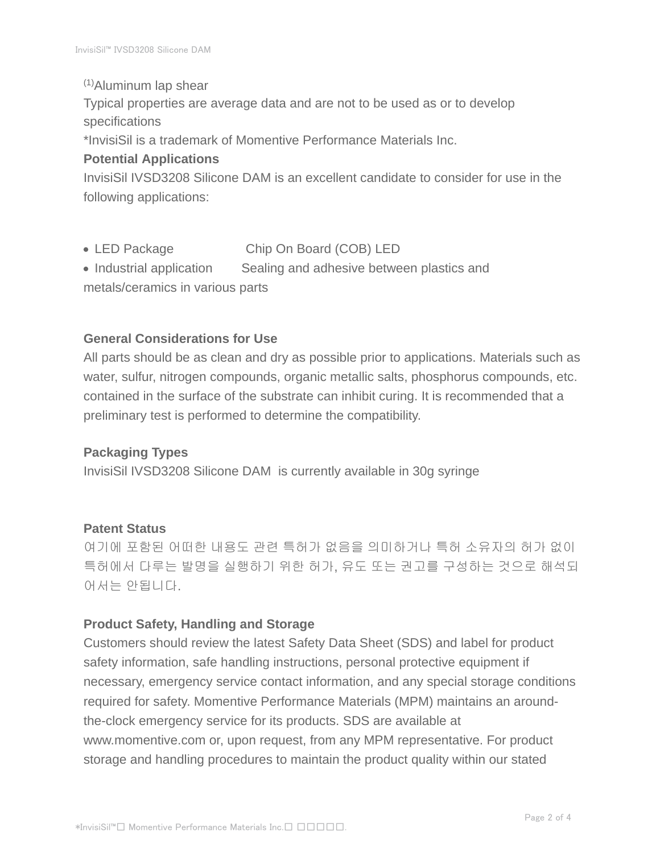(1)Aluminum lap shear

Typical properties are average data and are not to be used as or to develop specifications

\*InvisiSil is a trademark of Momentive Performance Materials Inc.

#### **Potential Applications**

InvisiSil IVSD3208 Silicone DAM is an excellent candidate to consider for use in the following applications:

- LED Package Chip On Board (COB) LED
- Industrial application Sealing and adhesive between plastics and metals/ceramics in various parts

#### **General Considerations for Use**

All parts should be as clean and dry as possible prior to applications. Materials such as water, sulfur, nitrogen compounds, organic metallic salts, phosphorus compounds, etc. contained in the surface of the substrate can inhibit curing. It is recommended that a preliminary test is performed to determine the compatibility.

#### **Packaging Types**

InvisiSil IVSD3208 Silicone DAM is currently available in 30g syringe

#### **Patent Status**

여기에 포함된 어떠한 내용도 관련 특허가 없음을 의미하거나 특허 소유자의 허가 없이 특허에서 다루는 발명을 실행하기 위한 허가, 유도 또는 권고를 구성하는 것으로 해석되 어서는 안됩니다.

#### **Product Safety, Handling and Storage**

Customers should review the latest Safety Data Sheet (SDS) and label for product safety information, safe handling instructions, personal protective equipment if necessary, emergency service contact information, and any special storage conditions required for safety. Momentive Performance Materials (MPM) maintains an aroundthe-clock emergency service for its products. SDS are available at www.momentive.com or, upon request, from any MPM representative. For product storage and handling procedures to maintain the product quality within our stated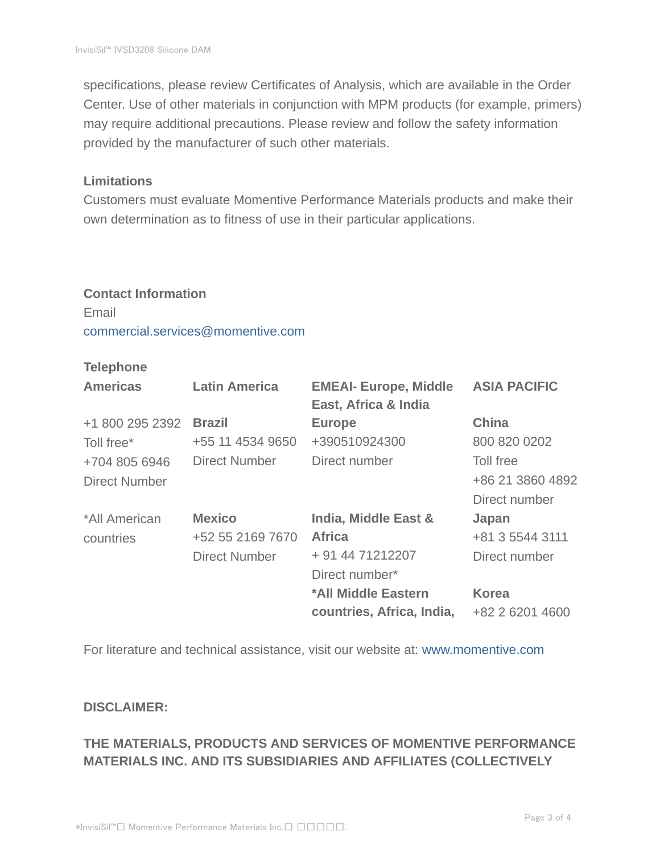specifications, please review Certificates of Analysis, which are available in the Order Center. Use of other materials in conjunction with MPM products (for example, primers) may require additional precautions. Please review and follow the safety information provided by the manufacturer of such other materials.

#### **Limitations**

Customers must evaluate Momentive Performance Materials products and make their own determination as to fitness of use in their particular applications.

# **Contact Information** Email commercial.services@momentive.com

#### **Telephone**

| <b>Americas</b>      | <b>Latin America</b> | <b>EMEAI- Europe, Middle</b><br>East, Africa & India | <b>ASIA PACIFIC</b> |
|----------------------|----------------------|------------------------------------------------------|---------------------|
| +1 800 295 2392      | <b>Brazil</b>        | <b>Europe</b>                                        | <b>China</b>        |
| Toll free*           | +55 11 4534 9650     | +390510924300                                        | 800 820 0202        |
| +704 805 6946        | <b>Direct Number</b> | Direct number                                        | Toll free           |
| <b>Direct Number</b> |                      |                                                      | +86 21 3860 4892    |
|                      |                      |                                                      | Direct number       |
| *All American        | <b>Mexico</b>        | India, Middle East &                                 | Japan               |
| countries            | +52 55 2169 7670     | <b>Africa</b>                                        | +81 3 5544 3111     |
|                      | <b>Direct Number</b> | + 91 44 71212207                                     | Direct number       |
|                      |                      | Direct number*                                       |                     |
|                      |                      | *All Middle Eastern                                  | <b>Korea</b>        |
|                      |                      | countries, Africa, India,                            | +82 2 6201 4600     |

For literature and technical assistance, visit our website at: www.momentive.com

#### **DISCLAIMER:**

# **THE MATERIALS, PRODUCTS AND SERVICES OF MOMENTIVE PERFORMANCE MATERIALS INC. AND ITS SUBSIDIARIES AND AFFILIATES (COLLECTIVELY**